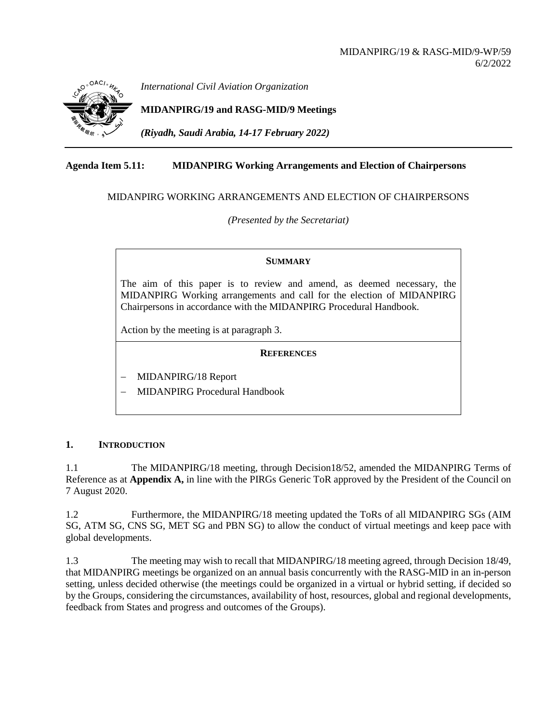

*International Civil Aviation Organization*

**MIDANPIRG/19 and RASG-MID/9 Meetings**

*(Riyadh, Saudi Arabia, 14-17 February 2022)*

# **Agenda Item 5.11: MIDANPIRG Working Arrangements and Election of Chairpersons**

# MIDANPIRG WORKING ARRANGEMENTS AND ELECTION OF CHAIRPERSONS

*(Presented by the Secretariat)*

# **SUMMARY**

The aim of this paper is to review and amend, as deemed necessary, the MIDANPIRG Working arrangements and call for the election of MIDANPIRG Chairpersons in accordance with the MIDANPIRG Procedural Handbook.

Action by the meeting is at paragraph 3.

# **REFERENCES**

− MIDANPIRG/18 Report

− MIDANPIRG Procedural Handbook

# **1. INTRODUCTION**

1.1 The MIDANPIRG/18 meeting, through Decision18/52, amended the MIDANPIRG Terms of Reference as at **Appendix A,** in line with the PIRGs Generic ToR approved by the President of the Council on 7 August 2020.

1.2 Furthermore, the MIDANPIRG/18 meeting updated the ToRs of all MIDANPIRG SGs (AIM SG, ATM SG, CNS SG, MET SG and PBN SG) to allow the conduct of virtual meetings and keep pace with global developments.

1.3 The meeting may wish to recall that MIDANPIRG/18 meeting agreed, through Decision 18/49, that MIDANPIRG meetings be organized on an annual basis concurrently with the RASG-MID in an in-person setting, unless decided otherwise (the meetings could be organized in a virtual or hybrid setting, if decided so by the Groups, considering the circumstances, availability of host, resources, global and regional developments, feedback from States and progress and outcomes of the Groups).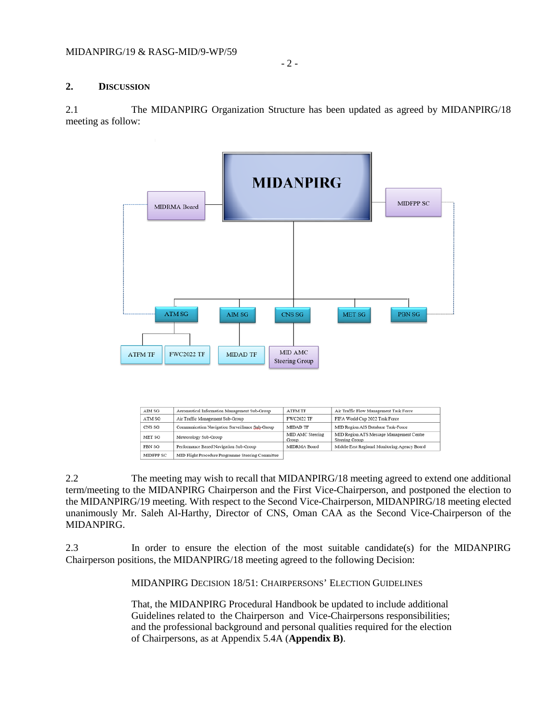## **2. DISCUSSION**

2.1 The MIDANPIRG Organization Structure has been updated as agreed by MIDANPIRG/18 meeting as follow:



| AIM SG    | Aeronautical Information Management Sub-Group     | <b>ATFM TF</b>            | Air Traffic Flow Management Task Force                     |
|-----------|---------------------------------------------------|---------------------------|------------------------------------------------------------|
| ATM SG    | Air Traffic Management Sub-Group                  | <b>FWC2022 TF</b>         | FIFA World Cup 2022 Task Force                             |
| CNS SG    | Communication Navigation Surveillance Sub-Group   | <b>MIDAD TF</b>           | MID Region AIS Database Task-Force                         |
| MET SG    | Meteorology Sub-Group                             | MID AMC Steering<br>Group | MID Region ATS Message Management Centre<br>Steering Group |
| PBN SG    | Performance Based Navigation Sub-Group            | MIDRMA Board              | Middle East Regional Monitoring Agency Board               |
| MIDFPP SC | MID Flight Procedure Programme Steering Committee |                           |                                                            |

2.2 The meeting may wish to recall that MIDANPIRG/18 meeting agreed to extend one additional term/meeting to the MIDANPIRG Chairperson and the First Vice-Chairperson, and postponed the election to the MIDANPIRG/19 meeting. With respect to the Second Vice-Chairperson, MIDANPIRG/18 meeting elected unanimously Mr. Saleh Al-Harthy, Director of CNS, Oman CAA as the Second Vice-Chairperson of the MIDANPIRG.

2.3 In order to ensure the election of the most suitable candidate(s) for the MIDANPIRG Chairperson positions, the MIDANPIRG/18 meeting agreed to the following Decision:

MIDANPIRG DECISION 18/51: CHAIRPERSONS' ELECTION GUIDELINES

That, the MIDANPIRG Procedural Handbook be updated to include additional Guidelines related to the Chairperson and Vice-Chairpersons responsibilities; and the professional background and personal qualities required for the election of Chairpersons, as at Appendix 5.4A (**Appendix B)**.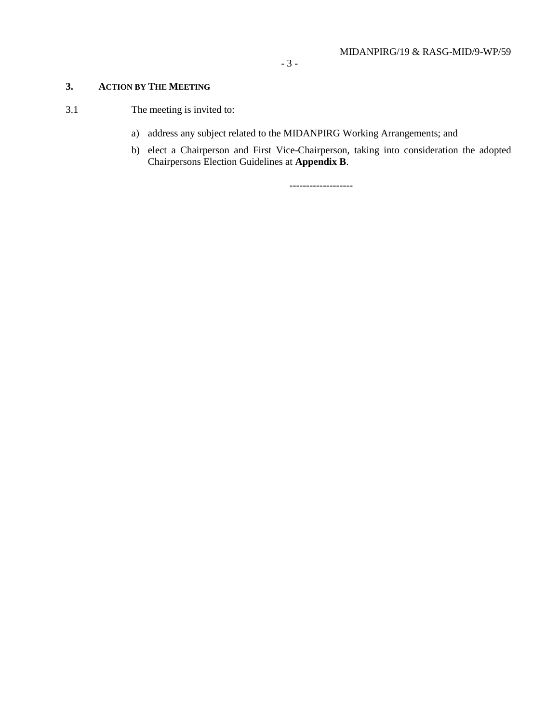# **3. ACTION BY THE MEETING**

- 3.1 The meeting is invited to:
	- a) address any subject related to the MIDANPIRG Working Arrangements; and
	- b) elect a Chairperson and First Vice-Chairperson, taking into consideration the adopted Chairpersons Election Guidelines at **Appendix B**.

-------------------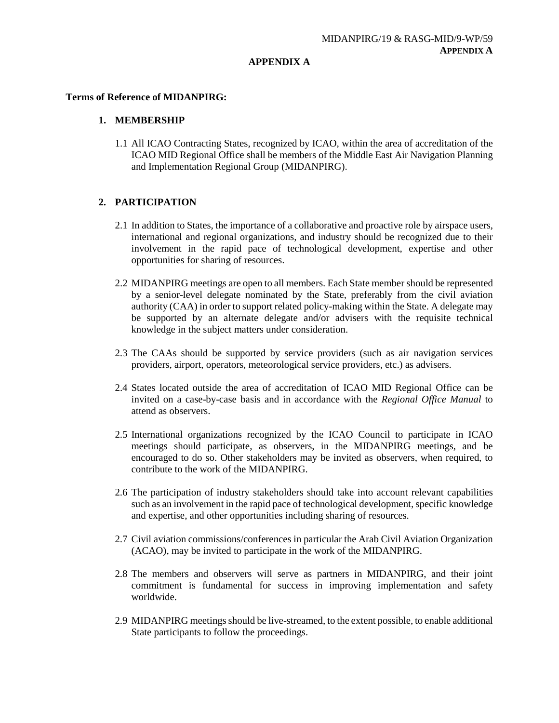### **APPENDIX A**

### **Terms of Reference of MIDANPIRG:**

## **1. MEMBERSHIP**

1.1 All ICAO Contracting States, recognized by ICAO, within the area of accreditation of the ICAO MID Regional Office shall be members of the Middle East Air Navigation Planning and Implementation Regional Group (MIDANPIRG).

# **2. PARTICIPATION**

- 2.1 In addition to States, the importance of a collaborative and proactive role by airspace users, international and regional organizations, and industry should be recognized due to their involvement in the rapid pace of technological development, expertise and other opportunities for sharing of resources.
- 2.2 MIDANPIRG meetings are open to all members. Each State member should be represented by a senior-level delegate nominated by the State, preferably from the civil aviation authority (CAA) in order to support related policy-making within the State. A delegate may be supported by an alternate delegate and/or advisers with the requisite technical knowledge in the subject matters under consideration.
- 2.3 The CAAs should be supported by service providers (such as air navigation services providers, airport, operators, meteorological service providers, etc.) as advisers.
- 2.4 States located outside the area of accreditation of ICAO MID Regional Office can be invited on a case-by-case basis and in accordance with the *Regional Office Manual* to attend as observers.
- 2.5 International organizations recognized by the ICAO Council to participate in ICAO meetings should participate, as observers, in the MIDANPIRG meetings, and be encouraged to do so. Other stakeholders may be invited as observers, when required, to contribute to the work of the MIDANPIRG.
- 2.6 The participation of industry stakeholders should take into account relevant capabilities such as an involvement in the rapid pace of technological development, specific knowledge and expertise, and other opportunities including sharing of resources.
- 2.7 Civil aviation commissions/conferences in particular the Arab Civil Aviation Organization (ACAO), may be invited to participate in the work of the MIDANPIRG.
- 2.8 The members and observers will serve as partners in MIDANPIRG, and their joint commitment is fundamental for success in improving implementation and safety worldwide.
- 2.9 MIDANPIRG meetings should be live-streamed, to the extent possible, to enable additional State participants to follow the proceedings.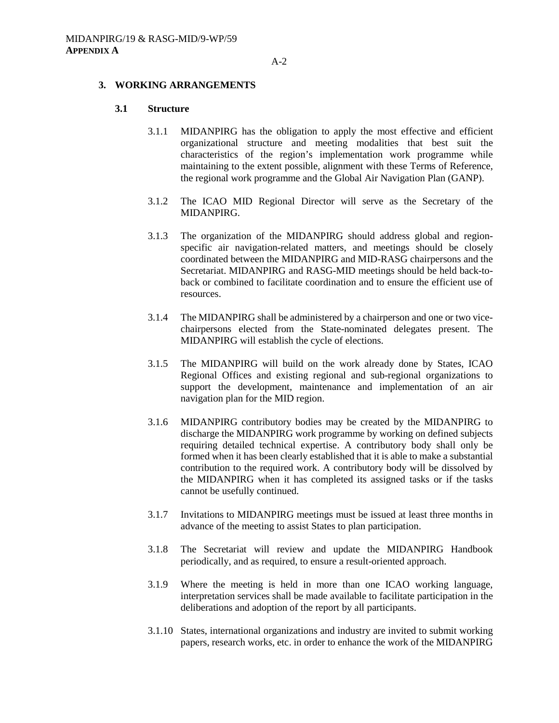#### **3. WORKING ARRANGEMENTS**

### **3.1 Structure**

- 3.1.1 MIDANPIRG has the obligation to apply the most effective and efficient organizational structure and meeting modalities that best suit the characteristics of the region's implementation work programme while maintaining to the extent possible, alignment with these Terms of Reference, the regional work programme and the Global Air Navigation Plan (GANP).
- 3.1.2 The ICAO MID Regional Director will serve as the Secretary of the MIDANPIRG.
- 3.1.3 The organization of the MIDANPIRG should address global and regionspecific air navigation-related matters, and meetings should be closely coordinated between the MIDANPIRG and MID-RASG chairpersons and the Secretariat. MIDANPIRG and RASG-MID meetings should be held back-toback or combined to facilitate coordination and to ensure the efficient use of resources.
- 3.1.4 The MIDANPIRG shall be administered by a chairperson and one or two vicechairpersons elected from the State-nominated delegates present. The MIDANPIRG will establish the cycle of elections.
- 3.1.5 The MIDANPIRG will build on the work already done by States, ICAO Regional Offices and existing regional and sub-regional organizations to support the development, maintenance and implementation of an air navigation plan for the MID region.
- 3.1.6 MIDANPIRG contributory bodies may be created by the MIDANPIRG to discharge the MIDANPIRG work programme by working on defined subjects requiring detailed technical expertise. A contributory body shall only be formed when it has been clearly established that it is able to make a substantial contribution to the required work. A contributory body will be dissolved by the MIDANPIRG when it has completed its assigned tasks or if the tasks cannot be usefully continued.
- 3.1.7 Invitations to MIDANPIRG meetings must be issued at least three months in advance of the meeting to assist States to plan participation.
- 3.1.8 The Secretariat will review and update the MIDANPIRG Handbook periodically, and as required, to ensure a result-oriented approach.
- 3.1.9 Where the meeting is held in more than one ICAO working language, interpretation services shall be made available to facilitate participation in the deliberations and adoption of the report by all participants.
- 3.1.10 States, international organizations and industry are invited to submit working papers, research works, etc. in order to enhance the work of the MIDANPIRG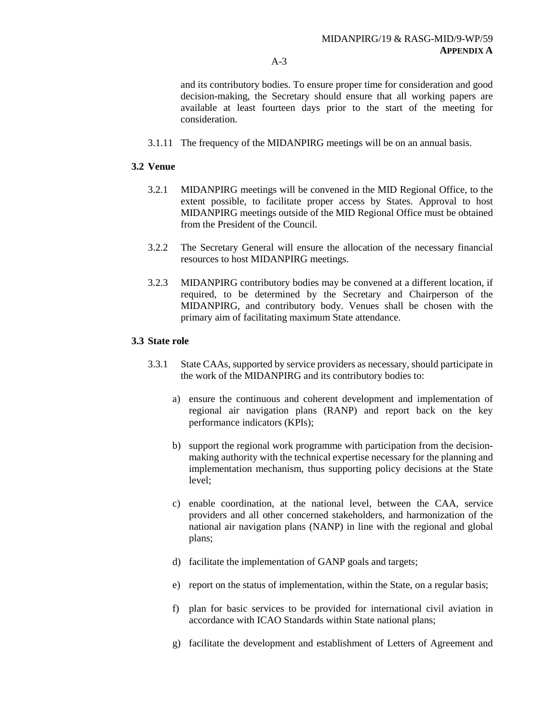and its contributory bodies. To ensure proper time for consideration and good decision-making, the Secretary should ensure that all working papers are available at least fourteen days prior to the start of the meeting for consideration.

3.1.11 The frequency of the MIDANPIRG meetings will be on an annual basis.

## **3.2 Venue**

- 3.2.1 MIDANPIRG meetings will be convened in the MID Regional Office, to the extent possible, to facilitate proper access by States. Approval to host MIDANPIRG meetings outside of the MID Regional Office must be obtained from the President of the Council.
- 3.2.2 The Secretary General will ensure the allocation of the necessary financial resources to host MIDANPIRG meetings.
- 3.2.3 MIDANPIRG contributory bodies may be convened at a different location, if required, to be determined by the Secretary and Chairperson of the MIDANPIRG, and contributory body. Venues shall be chosen with the primary aim of facilitating maximum State attendance.

## **3.3 State role**

- 3.3.1 State CAAs, supported by service providers as necessary, should participate in the work of the MIDANPIRG and its contributory bodies to:
	- a) ensure the continuous and coherent development and implementation of regional air navigation plans (RANP) and report back on the key performance indicators (KPIs);
	- b) support the regional work programme with participation from the decisionmaking authority with the technical expertise necessary for the planning and implementation mechanism, thus supporting policy decisions at the State level;
	- c) enable coordination, at the national level, between the CAA, service providers and all other concerned stakeholders, and harmonization of the national air navigation plans (NANP) in line with the regional and global plans;
	- d) facilitate the implementation of GANP goals and targets;
	- e) report on the status of implementation, within the State, on a regular basis;
	- f) plan for basic services to be provided for international civil aviation in accordance with ICAO Standards within State national plans;
	- g) facilitate the development and establishment of Letters of Agreement and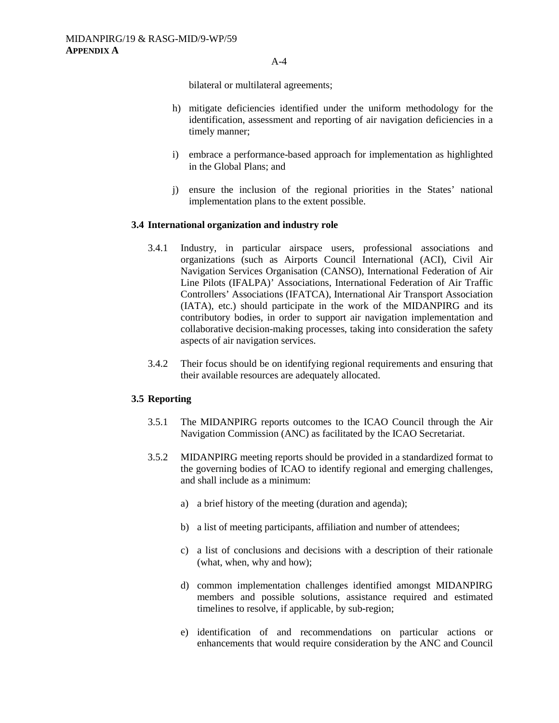bilateral or multilateral agreements;

- h) mitigate deficiencies identified under the uniform methodology for the identification, assessment and reporting of air navigation deficiencies in a timely manner;
- i) embrace a performance-based approach for implementation as highlighted in the Global Plans; and
- j) ensure the inclusion of the regional priorities in the States' national implementation plans to the extent possible.

#### **3.4 International organization and industry role**

- 3.4.1 Industry, in particular airspace users, professional associations and organizations (such as Airports Council International (ACI), Civil Air Navigation Services Organisation (CANSO), International Federation of Air Line Pilots (IFALPA)' Associations, International Federation of Air Traffic Controllers' Associations (IFATCA), International Air Transport Association (IATA), etc.) should participate in the work of the MIDANPIRG and its contributory bodies, in order to support air navigation implementation and collaborative decision-making processes, taking into consideration the safety aspects of air navigation services.
- 3.4.2 Their focus should be on identifying regional requirements and ensuring that their available resources are adequately allocated.

### **3.5 Reporting**

- 3.5.1 The MIDANPIRG reports outcomes to the ICAO Council through the Air Navigation Commission (ANC) as facilitated by the ICAO Secretariat.
- 3.5.2 MIDANPIRG meeting reports should be provided in a standardized format to the governing bodies of ICAO to identify regional and emerging challenges, and shall include as a minimum:
	- a) a brief history of the meeting (duration and agenda);
	- b) a list of meeting participants, affiliation and number of attendees;
	- c) a list of conclusions and decisions with a description of their rationale (what, when, why and how);
	- d) common implementation challenges identified amongst MIDANPIRG members and possible solutions, assistance required and estimated timelines to resolve, if applicable, by sub-region;
	- e) identification of and recommendations on particular actions or enhancements that would require consideration by the ANC and Council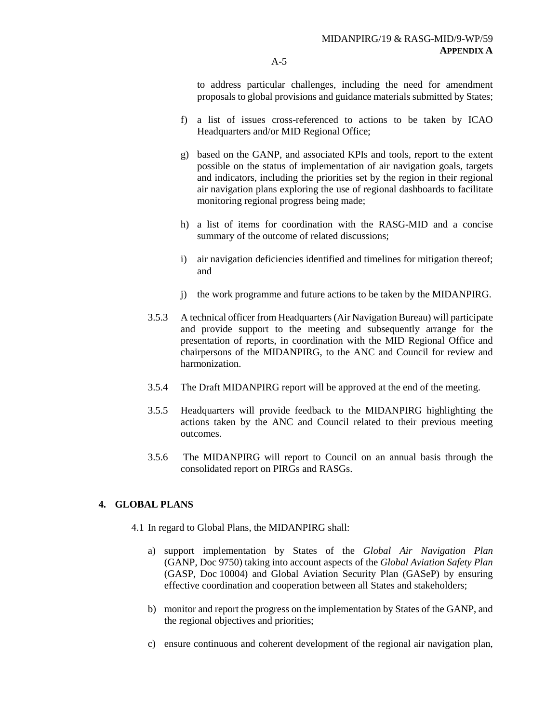to address particular challenges, including the need for amendment proposals to global provisions and guidance materials submitted by States;

- f) a list of issues cross-referenced to actions to be taken by ICAO Headquarters and/or MID Regional Office;
- g) based on the GANP, and associated KPIs and tools, report to the extent possible on the status of implementation of air navigation goals, targets and indicators, including the priorities set by the region in their regional air navigation plans exploring the use of regional dashboards to facilitate monitoring regional progress being made;
- h) a list of items for coordination with the RASG-MID and a concise summary of the outcome of related discussions;
- i) air navigation deficiencies identified and timelines for mitigation thereof; and
- j) the work programme and future actions to be taken by the MIDANPIRG.
- 3.5.3 A technical officer from Headquarters (Air Navigation Bureau) will participate and provide support to the meeting and subsequently arrange for the presentation of reports, in coordination with the MID Regional Office and chairpersons of the MIDANPIRG, to the ANC and Council for review and harmonization.
- 3.5.4 The Draft MIDANPIRG report will be approved at the end of the meeting.
- 3.5.5 Headquarters will provide feedback to the MIDANPIRG highlighting the actions taken by the ANC and Council related to their previous meeting outcomes.
- 3.5.6 The MIDANPIRG will report to Council on an annual basis through the consolidated report on PIRGs and RASGs.

## **4. GLOBAL PLANS**

- 4.1 In regard to Global Plans, the MIDANPIRG shall:
	- a) support implementation by States of the *Global Air Navigation Plan*  (GANP, Doc 9750) taking into account aspects of the *Global Aviation Safety Plan* (GASP, Doc 10004) and Global Aviation Security Plan (GASeP) by ensuring effective coordination and cooperation between all States and stakeholders;
	- b) monitor and report the progress on the implementation by States of the GANP, and the regional objectives and priorities;
	- c) ensure continuous and coherent development of the regional air navigation plan,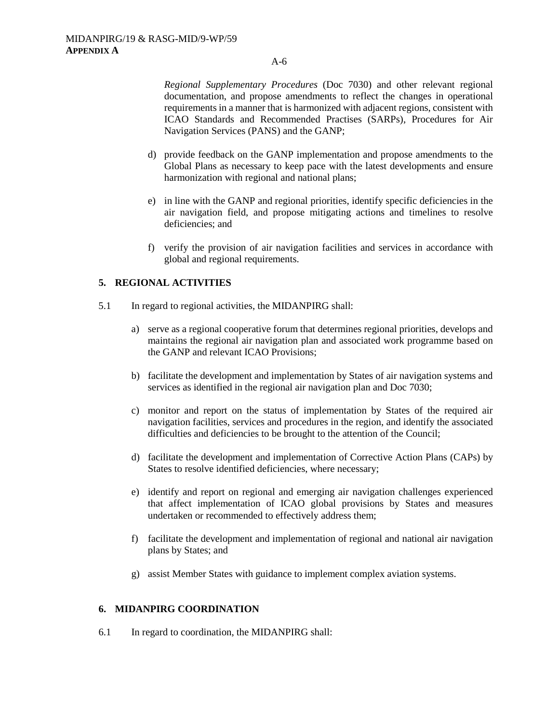*Regional Supplementary Procedures* (Doc 7030) and other relevant regional documentation, and propose amendments to reflect the changes in operational requirements in a manner that is harmonized with adjacent regions, consistent with ICAO Standards and Recommended Practises (SARPs), Procedures for Air Navigation Services (PANS) and the GANP;

- d) provide feedback on the GANP implementation and propose amendments to the Global Plans as necessary to keep pace with the latest developments and ensure harmonization with regional and national plans;
- e) in line with the GANP and regional priorities, identify specific deficiencies in the air navigation field, and propose mitigating actions and timelines to resolve deficiencies; and
- f) verify the provision of air navigation facilities and services in accordance with global and regional requirements.

## **5. REGIONAL ACTIVITIES**

- 5.1 In regard to regional activities, the MIDANPIRG shall:
	- a) serve as a regional cooperative forum that determines regional priorities, develops and maintains the regional air navigation plan and associated work programme based on the GANP and relevant ICAO Provisions;
	- b) facilitate the development and implementation by States of air navigation systems and services as identified in the regional air navigation plan and Doc 7030;
	- c) monitor and report on the status of implementation by States of the required air navigation facilities, services and procedures in the region, and identify the associated difficulties and deficiencies to be brought to the attention of the Council;
	- d) facilitate the development and implementation of Corrective Action Plans (CAPs) by States to resolve identified deficiencies, where necessary;
	- e) identify and report on regional and emerging air navigation challenges experienced that affect implementation of ICAO global provisions by States and measures undertaken or recommended to effectively address them;
	- f) facilitate the development and implementation of regional and national air navigation plans by States; and
	- g) assist Member States with guidance to implement complex aviation systems.

## **6. MIDANPIRG COORDINATION**

6.1 In regard to coordination, the MIDANPIRG shall: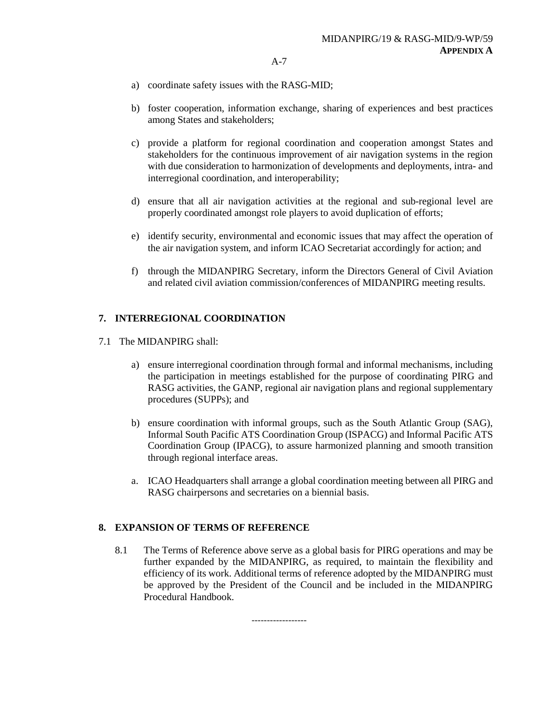- a) coordinate safety issues with the RASG-MID;
- b) foster cooperation, information exchange, sharing of experiences and best practices among States and stakeholders;
- c) provide a platform for regional coordination and cooperation amongst States and stakeholders for the continuous improvement of air navigation systems in the region with due consideration to harmonization of developments and deployments, intra- and interregional coordination, and interoperability;
- d) ensure that all air navigation activities at the regional and sub-regional level are properly coordinated amongst role players to avoid duplication of efforts;
- e) identify security, environmental and economic issues that may affect the operation of the air navigation system, and inform ICAO Secretariat accordingly for action; and
- f) through the MIDANPIRG Secretary, inform the Directors General of Civil Aviation and related civil aviation commission/conferences of MIDANPIRG meeting results.

### **7. INTERREGIONAL COORDINATION**

- 7.1 The MIDANPIRG shall:
	- a) ensure interregional coordination through formal and informal mechanisms, including the participation in meetings established for the purpose of coordinating PIRG and RASG activities, the GANP, regional air navigation plans and regional supplementary procedures (SUPPs); and
	- b) ensure coordination with informal groups, such as the South Atlantic Group (SAG), Informal South Pacific ATS Coordination Group (ISPACG) and Informal Pacific ATS Coordination Group (IPACG), to assure harmonized planning and smooth transition through regional interface areas.
	- a. ICAO Headquarters shall arrange a global coordination meeting between all PIRG and RASG chairpersons and secretaries on a biennial basis.

## **8. EXPANSION OF TERMS OF REFERENCE**

8.1 The Terms of Reference above serve as a global basis for PIRG operations and may be further expanded by the MIDANPIRG, as required, to maintain the flexibility and efficiency of its work. Additional terms of reference adopted by the MIDANPIRG must be approved by the President of the Council and be included in the MIDANPIRG Procedural Handbook.

------------------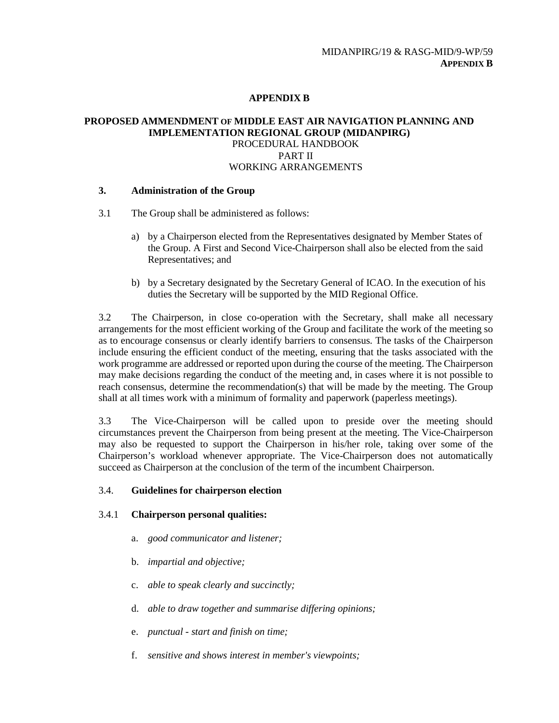# **APPENDIX B**

## **PROPOSED AMMENDMENT OF MIDDLE EAST AIR NAVIGATION PLANNING AND IMPLEMENTATION REGIONAL GROUP (MIDANPIRG)** PROCEDURAL HANDBOOK PART II WORKING ARRANGEMENTS

## **3. Administration of the Group**

- 3.1 The Group shall be administered as follows:
	- a) by a Chairperson elected from the Representatives designated by Member States of the Group. A First and Second Vice-Chairperson shall also be elected from the said Representatives; and
	- b) by a Secretary designated by the Secretary General of ICAO. In the execution of his duties the Secretary will be supported by the MID Regional Office.

3.2 The Chairperson, in close co-operation with the Secretary, shall make all necessary arrangements for the most efficient working of the Group and facilitate the work of the meeting so as to encourage consensus or clearly identify barriers to consensus. The tasks of the Chairperson include ensuring the efficient conduct of the meeting, ensuring that the tasks associated with the work programme are addressed or reported upon during the course of the meeting. The Chairperson may make decisions regarding the conduct of the meeting and, in cases where it is not possible to reach consensus, determine the recommendation(s) that will be made by the meeting. The Group shall at all times work with a minimum of formality and paperwork (paperless meetings).

3.3 The Vice-Chairperson will be called upon to preside over the meeting should circumstances prevent the Chairperson from being present at the meeting. The Vice-Chairperson may also be requested to support the Chairperson in his/her role, taking over some of the Chairperson's workload whenever appropriate. The Vice-Chairperson does not automatically succeed as Chairperson at the conclusion of the term of the incumbent Chairperson.

## 3.4. **Guidelines for chairperson election**

## 3.4.1 **Chairperson personal qualities:**

- a. *good communicator and listener;*
- b. *impartial and objective;*
- c. *able to speak clearly and succinctly;*
- d. *able to draw together and summarise differing opinions;*
- e. *punctual - start and finish on time;*
- f. *sensitive and shows interest in member's viewpoints;*